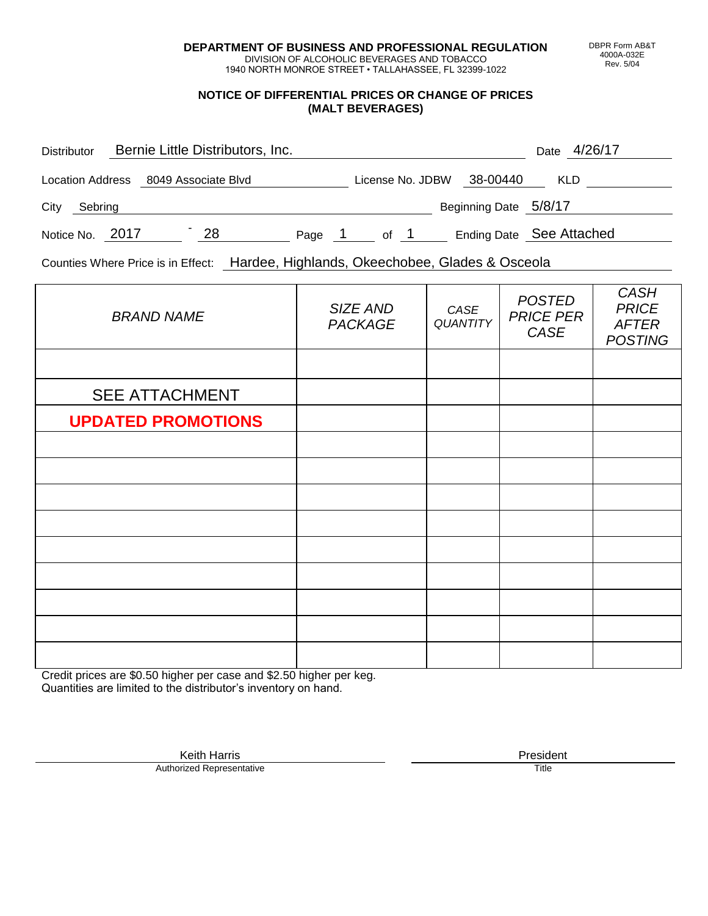**DEPARTMENT OF BUSINESS AND PROFESSIONAL REGULATION** DIVISION OF ALCOHOLIC BEVERAGES AND TOBACCO

1940 NORTH MONROE STREET • TALLAHASSEE, FL 32399-1022

#### **NOTICE OF DIFFERENTIAL PRICES OR CHANGE OF PRICES (MALT BEVERAGES)**

| <b>Distributor</b> | Bernie Little Distributors, Inc.     |    |        |                  |                       | 4/26/17<br>Date          |
|--------------------|--------------------------------------|----|--------|------------------|-----------------------|--------------------------|
|                    | Location Address 8049 Associate Blvd |    |        | License No. JDBW | 38-00440              | <b>KLD</b>               |
| City<br>Sebring    |                                      |    |        |                  | Beginning Date 5/8/17 |                          |
| Notice No. 2017    |                                      | 28 | Page 1 | of $1$           |                       | Ending Date See Attached |

Counties Where Price is in Effect: Hardee, Highlands, Okeechobee, Glades & Osceola

| <b>BRAND NAME</b>         | SIZE AND<br><b>PACKAGE</b> | CASE<br><b>QUANTITY</b> | <b>POSTED</b><br><b>PRICE PER</b><br>CASE | <b>CASH</b><br><b>PRICE</b><br><b>AFTER</b><br><b>POSTING</b> |
|---------------------------|----------------------------|-------------------------|-------------------------------------------|---------------------------------------------------------------|
|                           |                            |                         |                                           |                                                               |
| <b>SEE ATTACHMENT</b>     |                            |                         |                                           |                                                               |
| <b>UPDATED PROMOTIONS</b> |                            |                         |                                           |                                                               |
|                           |                            |                         |                                           |                                                               |
|                           |                            |                         |                                           |                                                               |
|                           |                            |                         |                                           |                                                               |
|                           |                            |                         |                                           |                                                               |
|                           |                            |                         |                                           |                                                               |
|                           |                            |                         |                                           |                                                               |
|                           |                            |                         |                                           |                                                               |
|                           |                            |                         |                                           |                                                               |
|                           |                            |                         |                                           |                                                               |

Credit prices are \$0.50 higher per case and \$2.50 higher per keg. Quantities are limited to the distributor's inventory on hand.

> Keith Harris **President**<br> **President**<br>
> Prized Representative **President Authorized Representative**

DBPR Form AB&T 4000A-032E Rev. 5/04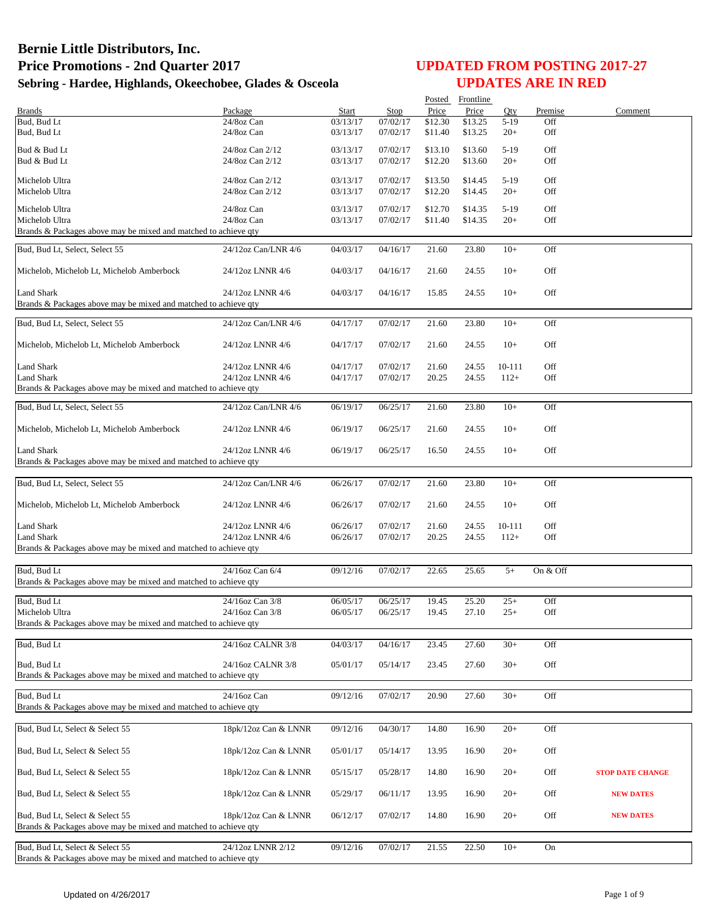|                                                                 |                      |          |          |         | Posted Frontline |        |          |                         |
|-----------------------------------------------------------------|----------------------|----------|----------|---------|------------------|--------|----------|-------------------------|
| <b>Brands</b>                                                   | Package              | Start    | Stop     | Price   | Price            | Qty    | Premise  | Comment                 |
| Bud, Bud Lt                                                     | 24/8oz Can           | 03/13/17 | 07/02/17 | \$12.30 | \$13.25          | $5-19$ | Off      |                         |
| Bud, Bud Lt                                                     | $24/8$ oz Can        | 03/13/17 | 07/02/17 | \$11.40 | \$13.25          | $20+$  | Off      |                         |
| Bud & Bud Lt                                                    | 24/8oz Can 2/12      | 03/13/17 | 07/02/17 | \$13.10 | \$13.60          | $5-19$ | Off      |                         |
| Bud & Bud Lt                                                    | 24/8oz Can 2/12      | 03/13/17 | 07/02/17 | \$12.20 | \$13.60          | $20+$  | Off      |                         |
|                                                                 |                      |          |          |         |                  |        |          |                         |
| Michelob Ultra                                                  | 24/8oz Can 2/12      | 03/13/17 | 07/02/17 | \$13.50 | \$14.45          | $5-19$ | Off      |                         |
| Michelob Ultra                                                  | 24/8oz Can 2/12      | 03/13/17 | 07/02/17 | \$12.20 | \$14.45          | $20+$  | Off      |                         |
|                                                                 |                      |          |          |         |                  |        |          |                         |
| Michelob Ultra                                                  | 24/8oz Can           | 03/13/17 | 07/02/17 | \$12.70 | \$14.35          | $5-19$ | Off      |                         |
| Michelob Ultra                                                  | 24/8oz Can           | 03/13/17 | 07/02/17 | \$11.40 | \$14.35          | $20+$  | Off      |                         |
| Brands & Packages above may be mixed and matched to achieve qty |                      |          |          |         |                  |        |          |                         |
| Bud, Bud Lt, Select, Select 55                                  | 24/12oz Can/LNR 4/6  | 04/03/17 | 04/16/17 | 21.60   | 23.80            | $10+$  | Off      |                         |
|                                                                 |                      |          |          |         |                  |        |          |                         |
| Michelob, Michelob Lt, Michelob Amberbock                       | 24/12oz LNNR 4/6     | 04/03/17 | 04/16/17 | 21.60   | 24.55            | $10+$  | Off      |                         |
|                                                                 |                      |          |          |         |                  |        |          |                         |
| <b>Land Shark</b>                                               | 24/12oz LNNR 4/6     | 04/03/17 | 04/16/17 | 15.85   | 24.55            | $10+$  | Off      |                         |
| Brands & Packages above may be mixed and matched to achieve qty |                      |          |          |         |                  |        |          |                         |
| Bud, Bud Lt, Select, Select 55                                  | 24/12oz Can/LNR 4/6  | 04/17/17 | 07/02/17 | 21.60   | 23.80            | $10+$  | Off      |                         |
| Michelob, Michelob Lt, Michelob Amberbock                       | 24/12oz LNNR 4/6     | 04/17/17 | 07/02/17 | 21.60   | 24.55            | $10+$  | Off      |                         |
|                                                                 |                      |          |          |         |                  |        |          |                         |
| Land Shark                                                      | 24/12oz LNNR 4/6     | 04/17/17 | 07/02/17 | 21.60   | 24.55            | 10-111 | Off      |                         |
| <b>Land Shark</b>                                               | 24/12oz LNNR 4/6     | 04/17/17 | 07/02/17 | 20.25   | 24.55            | $112+$ | Off      |                         |
| Brands & Packages above may be mixed and matched to achieve qty |                      |          |          |         |                  |        |          |                         |
|                                                                 |                      |          |          |         |                  |        |          |                         |
| Bud, Bud Lt, Select, Select 55                                  | 24/12oz Can/LNR 4/6  | 06/19/17 | 06/25/17 | 21.60   | 23.80            | $10+$  | Off      |                         |
|                                                                 |                      |          |          |         |                  |        |          |                         |
| Michelob, Michelob Lt, Michelob Amberbock                       | 24/12oz LNNR 4/6     | 06/19/17 | 06/25/17 | 21.60   | 24.55            | $10+$  | Off      |                         |
| <b>Land Shark</b>                                               | 24/12oz LNNR 4/6     | 06/19/17 | 06/25/17 | 16.50   | 24.55            | $10+$  | Off      |                         |
| Brands & Packages above may be mixed and matched to achieve qty |                      |          |          |         |                  |        |          |                         |
|                                                                 |                      |          |          |         |                  |        |          |                         |
| Bud, Bud Lt, Select, Select 55                                  | 24/12oz Can/LNR 4/6  | 06/26/17 | 07/02/17 | 21.60   | 23.80            | $10+$  | Off      |                         |
|                                                                 |                      |          |          |         |                  |        |          |                         |
| Michelob, Michelob Lt, Michelob Amberbock                       | 24/12oz LNNR 4/6     | 06/26/17 | 07/02/17 | 21.60   | 24.55            | $10+$  | Off      |                         |
|                                                                 |                      |          |          |         |                  |        |          |                         |
| <b>Land Shark</b>                                               | 24/12oz LNNR 4/6     | 06/26/17 | 07/02/17 | 21.60   | 24.55            | 10-111 | Off      |                         |
| <b>Land Shark</b>                                               | 24/12oz LNNR 4/6     | 06/26/17 | 07/02/17 | 20.25   | 24.55            | $112+$ | Off      |                         |
| Brands & Packages above may be mixed and matched to achieve qty |                      |          |          |         |                  |        |          |                         |
|                                                                 |                      |          |          |         |                  |        |          |                         |
| Bud, Bud Lt                                                     | 24/16oz Can 6/4      | 09/12/16 | 07/02/17 | 22.65   | 25.65            | $5+$   | On & Off |                         |
| Brands & Packages above may be mixed and matched to achieve qty |                      |          |          |         |                  |        |          |                         |
|                                                                 |                      |          |          |         |                  |        |          |                         |
| Bud. Bud Lt                                                     | 24/16oz Can 3/8      | 06/05/17 | 06/25/17 | 19.45   | 25.20            | $25+$  | Off      |                         |
| Michelob Ultra                                                  | 24/16oz Can 3/8      | 06/05/17 | 06/25/17 | 19.45   | 27.10            | $25+$  | Off      |                         |
| Brands & Packages above may be mixed and matched to achieve qty |                      |          |          |         |                  |        |          |                         |
|                                                                 |                      |          |          |         |                  |        |          |                         |
| Bud, Bud Lt                                                     | 24/16oz CALNR 3/8    | 04/03/17 | 04/16/17 | 23.45   | 27.60            | $30+$  | Off      |                         |
|                                                                 |                      |          |          |         |                  |        |          |                         |
| Bud, Bud Lt                                                     | 24/16oz CALNR 3/8    | 05/01/17 | 05/14/17 | 23.45   | 27.60            | $30+$  | Off      |                         |
| Brands & Packages above may be mixed and matched to achieve qty |                      |          |          |         |                  |        |          |                         |
| Bud, Bud Lt                                                     | 24/16oz Can          | 09/12/16 | 07/02/17 | 20.90   | 27.60            | $30+$  | Off      |                         |
| Brands & Packages above may be mixed and matched to achieve qty |                      |          |          |         |                  |        |          |                         |
|                                                                 |                      |          |          |         |                  |        |          |                         |
| Bud, Bud Lt, Select & Select 55                                 | 18pk/12oz Can & LNNR | 09/12/16 | 04/30/17 | 14.80   | 16.90            | $20+$  | Off      |                         |
|                                                                 |                      |          |          |         |                  |        |          |                         |
| Bud, Bud Lt, Select & Select 55                                 | 18pk/12oz Can & LNNR | 05/01/17 | 05/14/17 | 13.95   | 16.90            | $20+$  | Off      |                         |
|                                                                 |                      |          |          |         |                  |        |          |                         |
| Bud, Bud Lt, Select & Select 55                                 | 18pk/12oz Can & LNNR | 05/15/17 | 05/28/17 | 14.80   | 16.90            | $20+$  | Off      | <b>STOP DATE CHANGE</b> |
|                                                                 |                      |          |          |         |                  |        |          |                         |
| Bud, Bud Lt, Select & Select 55                                 | 18pk/12oz Can & LNNR | 05/29/17 | 06/11/17 | 13.95   | 16.90            | $20+$  | Off      | <b>NEW DATES</b>        |
|                                                                 |                      |          |          |         |                  |        |          |                         |
| Bud, Bud Lt, Select & Select 55                                 | 18pk/12oz Can & LNNR | 06/12/17 | 07/02/17 | 14.80   | 16.90            | $20+$  | Off      | <b>NEW DATES</b>        |
| Brands & Packages above may be mixed and matched to achieve qty |                      |          |          |         |                  |        |          |                         |
|                                                                 |                      |          |          |         |                  |        |          |                         |
| Bud, Bud Lt, Select & Select 55                                 | 24/12oz LNNR 2/12    | 09/12/16 | 07/02/17 | 21.55   | 22.50            | $10+$  | On       |                         |
| Brands & Packages above may be mixed and matched to achieve qty |                      |          |          |         |                  |        |          |                         |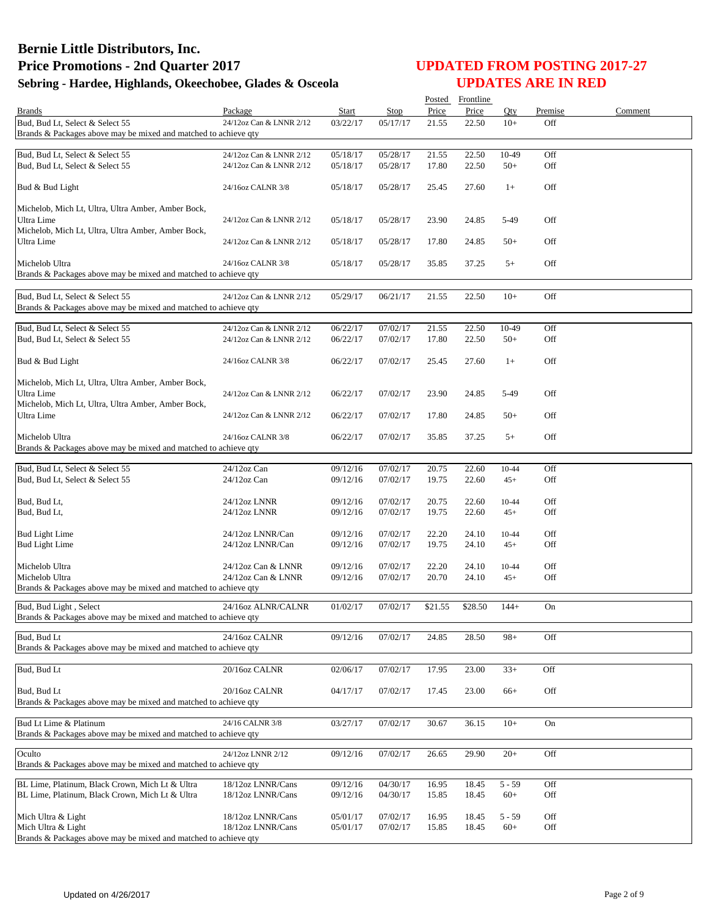|                                                                                                    |                         |                      |          | Posted         | Frontline      |          |         |         |
|----------------------------------------------------------------------------------------------------|-------------------------|----------------------|----------|----------------|----------------|----------|---------|---------|
| <b>Brands</b>                                                                                      | Package                 | Start                | Stop     | Price          | Price          | Qty      | Premise | Comment |
| Bud, Bud Lt, Select & Select 55<br>Brands & Packages above may be mixed and matched to achieve qty | 24/12oz Can & LNNR 2/12 | 03/22/17             | 05/17/17 | 21.55          | 22.50          | $10+$    | Off     |         |
|                                                                                                    |                         |                      |          |                |                |          |         |         |
| Bud, Bud Lt, Select & Select 55                                                                    | 24/12oz Can & LNNR 2/12 | 05/18/17             | 05/28/17 | 21.55          | 22.50          | 10-49    | Off     |         |
| Bud, Bud Lt, Select & Select 55                                                                    | 24/12oz Can & LNNR 2/12 | 05/18/17             | 05/28/17 | 17.80          | 22.50          | $50+$    | Off     |         |
| Bud & Bud Light                                                                                    | 24/16oz CALNR 3/8       | 05/18/17             | 05/28/17 | 25.45          | 27.60          | $1+$     | Off     |         |
| Michelob, Mich Lt, Ultra, Ultra Amber, Amber Bock,                                                 |                         |                      |          |                |                |          |         |         |
| Ultra Lime<br>Michelob, Mich Lt, Ultra, Ultra Amber, Amber Bock,                                   | 24/12oz Can & LNNR 2/12 | 05/18/17             | 05/28/17 | 23.90          | 24.85          | 5-49     | Off     |         |
| Ultra Lime                                                                                         | 24/12oz Can & LNNR 2/12 | 05/18/17             | 05/28/17 | 17.80          | 24.85          | $50+$    | Off     |         |
| Michelob Ultra<br>Brands & Packages above may be mixed and matched to achieve qty                  | 24/16oz CALNR 3/8       | 05/18/17             | 05/28/17 | 35.85          | 37.25          | $5+$     | Off     |         |
|                                                                                                    |                         |                      |          |                |                |          |         |         |
| Bud, Bud Lt, Select & Select 55<br>Brands & Packages above may be mixed and matched to achieve qty | 24/12oz Can & LNNR 2/12 | 05/29/17             | 06/21/17 | 21.55          | 22.50          | $10+$    | Off     |         |
| Bud, Bud Lt, Select & Select 55                                                                    | 24/12oz Can & LNNR 2/12 |                      | 07/02/17 |                |                | 10-49    | Off     |         |
| Bud, Bud Lt, Select & Select 55                                                                    | 24/12oz Can & LNNR 2/12 | 06/22/17<br>06/22/17 | 07/02/17 | 21.55<br>17.80 | 22.50<br>22.50 | $50+$    | Off     |         |
| Bud & Bud Light                                                                                    | 24/16oz CALNR 3/8       | 06/22/17             | 07/02/17 | 25.45          | 27.60          | $1+$     | Off     |         |
| Michelob, Mich Lt, Ultra, Ultra Amber, Amber Bock,                                                 |                         |                      |          |                |                |          |         |         |
| Ultra Lime                                                                                         | 24/12oz Can & LNNR 2/12 | 06/22/17             | 07/02/17 | 23.90          | 24.85          | 5-49     | Off     |         |
| Michelob, Mich Lt, Ultra, Ultra Amber, Amber Bock,                                                 |                         |                      |          |                |                |          |         |         |
| Ultra Lime                                                                                         | 24/12oz Can & LNNR 2/12 | 06/22/17             | 07/02/17 | 17.80          | 24.85          | $50+$    | Off     |         |
| Michelob Ultra<br>Brands & Packages above may be mixed and matched to achieve qty                  | 24/16oz CALNR 3/8       | 06/22/17             | 07/02/17 | 35.85          | 37.25          | $5+$     | Off     |         |
|                                                                                                    |                         |                      |          |                |                |          |         |         |
| Bud, Bud Lt, Select & Select 55                                                                    | 24/12oz Can             | 09/12/16             | 07/02/17 | 20.75          | 22.60          | 10-44    | Off     |         |
| Bud, Bud Lt, Select & Select 55                                                                    | $24/12$ oz Can          | 09/12/16             | 07/02/17 | 19.75          | 22.60          | $45+$    | Off     |         |
| Bud, Bud Lt,                                                                                       | 24/12oz LNNR            | 09/12/16             | 07/02/17 | 20.75          | 22.60          | 10-44    | Off     |         |
| Bud, Bud Lt,                                                                                       | 24/12oz LNNR            | 09/12/16             | 07/02/17 | 19.75          | 22.60          | $45+$    | Off     |         |
|                                                                                                    |                         |                      |          |                |                |          |         |         |
| <b>Bud Light Lime</b>                                                                              | 24/12oz LNNR/Can        | 09/12/16             | 07/02/17 | 22.20          | 24.10          | 10-44    | Off     |         |
| <b>Bud Light Lime</b>                                                                              | 24/12oz LNNR/Can        | 09/12/16             | 07/02/17 | 19.75          | 24.10          | $45+$    | Off     |         |
| Michelob Ultra                                                                                     | 24/12oz Can & LNNR      | 09/12/16             | 07/02/17 | 22.20          | 24.10          | 10-44    | Off     |         |
| Michelob Ultra                                                                                     | 24/12oz Can & LNNR      | 09/12/16             | 07/02/17 | 20.70          | 24.10          | $45+$    | Off     |         |
| Brands & Packages above may be mixed and matched to achieve qty                                    |                         |                      |          |                |                |          |         |         |
| Bud, Bud Light, Select<br>Brands & Packages above may be mixed and matched to achieve qty          | 24/16oz ALNR/CALNR      | 01/02/17             | 07/02/17 | \$21.55        | \$28.50        | $144+$   | On      |         |
|                                                                                                    |                         |                      |          |                |                |          |         |         |
| Bud, Bud Lt<br>Brands & Packages above may be mixed and matched to achieve qty                     | 24/16oz CALNR           | 09/12/16             | 07/02/17 | 24.85          | 28.50          | $98+$    | Off     |         |
| Bud, Bud Lt                                                                                        | 20/16oz CALNR           | 02/06/17             | 07/02/17 | 17.95          | 23.00          | $33+$    | Off     |         |
|                                                                                                    |                         |                      |          |                |                |          |         |         |
| Bud, Bud Lt<br>Brands & Packages above may be mixed and matched to achieve gty                     | 20/16oz CALNR           | 04/17/17             | 07/02/17 | 17.45          | 23.00          | $66+$    | Off     |         |
| Bud Lt Lime & Platinum                                                                             |                         |                      | 07/02/17 | 30.67          |                | $10+$    |         |         |
| Brands & Packages above may be mixed and matched to achieve qty                                    | 24/16 CALNR 3/8         | 03/27/17             |          |                | 36.15          |          | On      |         |
| Oculto                                                                                             | 24/12oz LNNR 2/12       | 09/12/16             | 07/02/17 | 26.65          | 29.90          | $20+$    | Off     |         |
| Brands & Packages above may be mixed and matched to achieve qty                                    |                         |                      |          |                |                |          |         |         |
| BL Lime, Platinum, Black Crown, Mich Lt & Ultra                                                    | 18/12oz LNNR/Cans       | 09/12/16             | 04/30/17 | 16.95          | 18.45          | $5 - 59$ | Off     |         |
| BL Lime, Platinum, Black Crown, Mich Lt & Ultra                                                    | 18/12oz LNNR/Cans       | 09/12/16             | 04/30/17 | 15.85          | 18.45          | $60+$    | Off     |         |
| Mich Ultra & Light                                                                                 | 18/12oz LNNR/Cans       | 05/01/17             | 07/02/17 | 16.95          | 18.45          | $5 - 59$ | Off     |         |
| Mich Ultra & Light                                                                                 | 18/12oz LNNR/Cans       | 05/01/17             | 07/02/17 | 15.85          | 18.45          | $60+$    | Off     |         |
| Brands & Packages above may be mixed and matched to achieve qty                                    |                         |                      |          |                |                |          |         |         |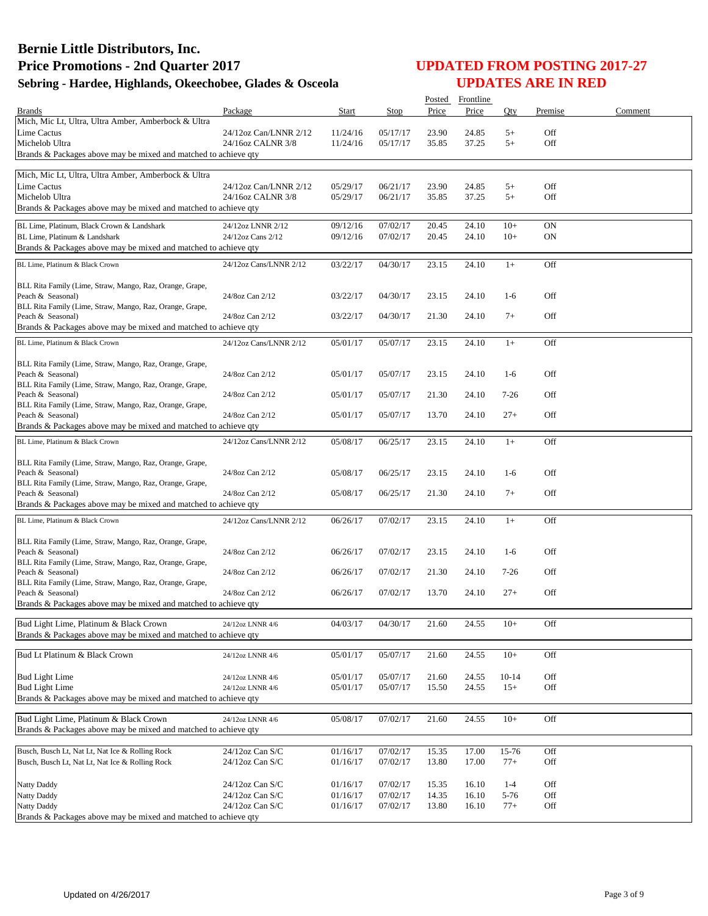|                                                                                                           |                                            |                      |                      | Posted         | Frontline      |              |            |         |
|-----------------------------------------------------------------------------------------------------------|--------------------------------------------|----------------------|----------------------|----------------|----------------|--------------|------------|---------|
| <b>Brands</b><br>Mich, Mic Lt, Ultra, Ultra Amber, Amberbock & Ultra                                      | Package                                    | Start                | Stop                 | Price          | Price          | Qty          | Premise    | Comment |
| Lime Cactus                                                                                               | 24/12oz Can/LNNR 2/12                      | 11/24/16             | 05/17/17             | 23.90          | 24.85          | $5+$         | Off        |         |
| Michelob Ultra                                                                                            | 24/16oz CALNR 3/8                          | 11/24/16             | 05/17/17             | 35.85          | 37.25          | $5+$         | Off        |         |
| Brands & Packages above may be mixed and matched to achieve qty                                           |                                            |                      |                      |                |                |              |            |         |
|                                                                                                           |                                            |                      |                      |                |                |              |            |         |
| Mich, Mic Lt, Ultra, Ultra Amber, Amberbock & Ultra                                                       |                                            |                      |                      |                |                |              |            |         |
| Lime Cactus<br>Michelob Ultra                                                                             | 24/12oz Can/LNNR 2/12<br>24/16oz CALNR 3/8 | 05/29/17<br>05/29/17 | 06/21/17<br>06/21/17 | 23.90<br>35.85 | 24.85<br>37.25 | $5+$<br>$5+$ | Off<br>Off |         |
| Brands & Packages above may be mixed and matched to achieve qty                                           |                                            |                      |                      |                |                |              |            |         |
|                                                                                                           |                                            |                      |                      |                |                |              |            |         |
| BL Lime, Platinum, Black Crown & Landshark                                                                | 24/12oz LNNR 2/12                          | 09/12/16             | 07/02/17             | 20.45          | 24.10          | $10+$        | <b>ON</b>  |         |
| BL Lime, Platinum & Landshark                                                                             | 24/12oz Cans 2/12                          | 09/12/16             | 07/02/17             | 20.45          | 24.10          | $10+$        | <b>ON</b>  |         |
| Brands & Packages above may be mixed and matched to achieve qty                                           |                                            |                      |                      |                |                |              |            |         |
| BL Lime, Platinum & Black Crown                                                                           | 24/12oz Cans/LNNR 2/12                     | 03/22/17             | 04/30/17             | 23.15          | 24.10          | $1+$         | Off        |         |
|                                                                                                           |                                            |                      |                      |                |                |              |            |         |
| BLL Rita Family (Lime, Straw, Mango, Raz, Orange, Grape,<br>Peach & Seasonal)                             | 24/8oz Can 2/12                            | 03/22/17             | 04/30/17             | 23.15          | 24.10          | $1-6$        | Off        |         |
| BLL Rita Family (Lime, Straw, Mango, Raz, Orange, Grape,                                                  |                                            |                      |                      |                |                |              |            |         |
| Peach & Seasonal)                                                                                         | 24/8oz Can 2/12                            | 03/22/17             | 04/30/17             | 21.30          | 24.10          | $7+$         | Off        |         |
| Brands & Packages above may be mixed and matched to achieve qty                                           |                                            |                      |                      |                |                |              |            |         |
| BL Lime, Platinum & Black Crown                                                                           | 24/12oz Cans/LNNR 2/12                     | 05/01/17             | 05/07/17             | 23.15          | 24.10          | $1+$         | Off        |         |
|                                                                                                           |                                            |                      |                      |                |                |              |            |         |
| BLL Rita Family (Lime, Straw, Mango, Raz, Orange, Grape,                                                  |                                            |                      |                      |                |                |              |            |         |
| Peach & Seasonal)                                                                                         | 24/8oz Can 2/12                            | 05/01/17             | 05/07/17             | 23.15          | 24.10          | $1-6$        | Off        |         |
| BLL Rita Family (Lime, Straw, Mango, Raz, Orange, Grape,<br>Peach & Seasonal)                             | 24/8oz Can 2/12                            | 05/01/17             | 05/07/17             | 21.30          | 24.10          | $7-26$       | Off        |         |
| BLL Rita Family (Lime, Straw, Mango, Raz, Orange, Grape,                                                  |                                            |                      |                      |                |                |              |            |         |
| Peach & Seasonal)                                                                                         | 24/8oz Can 2/12                            | 05/01/17             | 05/07/17             | 13.70          | 24.10          | $27+$        | Off        |         |
| Brands & Packages above may be mixed and matched to achieve qty                                           |                                            |                      |                      |                |                |              |            |         |
| BL Lime, Platinum & Black Crown                                                                           | 24/12oz Cans/LNNR 2/12                     | 05/08/17             | 06/25/17             | 23.15          | 24.10          | $1+$         | Off        |         |
|                                                                                                           |                                            |                      |                      |                |                |              |            |         |
| BLL Rita Family (Lime, Straw, Mango, Raz, Orange, Grape,                                                  |                                            |                      |                      |                |                |              |            |         |
| Peach & Seasonal)                                                                                         | 24/8oz Can 2/12                            | 05/08/17             | 06/25/17             | 23.15          | 24.10          | $1-6$        | Off        |         |
| BLL Rita Family (Lime, Straw, Mango, Raz, Orange, Grape,<br>Peach & Seasonal)                             | 24/8oz Can 2/12                            | 05/08/17             | 06/25/17             | 21.30          | 24.10          | $7+$         | Off        |         |
| Brands & Packages above may be mixed and matched to achieve qty                                           |                                            |                      |                      |                |                |              |            |         |
|                                                                                                           |                                            |                      |                      |                |                |              |            |         |
| BL Lime, Platinum & Black Crown                                                                           | 24/12oz Cans/LNNR 2/12                     | 06/26/17             | 07/02/17             | 23.15          | 24.10          | $1+$         | Off        |         |
| BLL Rita Family (Lime, Straw, Mango, Raz, Orange, Grape,                                                  |                                            |                      |                      |                |                |              |            |         |
| Peach & Seasonal)                                                                                         | 24/8oz Can 2/12                            | 06/26/17             | 07/02/17             | 23.15          | 24.10          | $1-6$        | Off        |         |
| BLL Rita Family (Lime, Straw, Mango, Raz, Orange, Grape,                                                  |                                            |                      |                      |                |                |              |            |         |
| Peach & Seasonal)                                                                                         | 24/8oz Can 2/12                            | 06/26/17             | 07/02/17             | 21.30          | 24.10          | 7-26         | Off        |         |
| BLL Rita Family (Lime, Straw, Mango, Raz, Orange, Grape,<br>Peach & Seasonal)                             | 24/8oz Can 2/12                            | 06/26/17             | 07/02/17             | 13.70          | 24.10          | $27+$        | Off        |         |
| Brands & Packages above may be mixed and matched to achieve qty                                           |                                            |                      |                      |                |                |              |            |         |
|                                                                                                           |                                            |                      |                      |                |                |              |            |         |
| Bud Light Lime, Platinum & Black Crown                                                                    | 24/12oz LNNR 4/6                           | 04/03/17             | 04/30/17             | 21.60          | 24.55          | $10+$        | Off        |         |
| Brands & Packages above may be mixed and matched to achieve qty                                           |                                            |                      |                      |                |                |              |            |         |
| Bud Lt Platinum & Black Crown                                                                             | 24/12oz LNNR 4/6                           | 05/01/17             | 05/07/17             | 21.60          | 24.55          | $10+$        | Off        |         |
|                                                                                                           |                                            |                      |                      |                |                |              |            |         |
| <b>Bud Light Lime</b>                                                                                     | 24/12oz LNNR 4/6                           | 05/01/17             | 05/07/17             | 21.60          | 24.55          | $10 - 14$    | Off        |         |
| <b>Bud Light Lime</b>                                                                                     | 24/12oz LNNR 4/6                           | 05/01/17             | 05/07/17             | 15.50          | 24.55          | $15+$        | Off        |         |
| Brands & Packages above may be mixed and matched to achieve qty                                           |                                            |                      |                      |                |                |              |            |         |
|                                                                                                           |                                            |                      | 07/02/17             | 21.60          | 24.55          | $10+$        | Off        |         |
| Bud Light Lime, Platinum & Black Crown<br>Brands & Packages above may be mixed and matched to achieve qty | 24/12oz LNNR 4/6                           | 05/08/17             |                      |                |                |              |            |         |
|                                                                                                           |                                            |                      |                      |                |                |              |            |         |
| Busch, Busch Lt, Nat Lt, Nat Ice & Rolling Rock                                                           | $24/12$ oz Can S/C                         | 01/16/17             | 07/02/17             | 15.35          | 17.00          | 15-76        | Off        |         |
| Busch, Busch Lt, Nat Lt, Nat Ice & Rolling Rock                                                           | 24/12oz Can S/C                            | 01/16/17             | 07/02/17             | 13.80          | 17.00          | $77+$        | Off        |         |
|                                                                                                           |                                            |                      |                      |                |                |              |            |         |
| Natty Daddy                                                                                               | 24/12oz Can S/C                            | 01/16/17             | 07/02/17             | 15.35          | 16.10          | $1 - 4$      | Off        |         |
| Natty Daddy<br>Natty Daddy                                                                                | 24/12oz Can S/C<br>24/12oz Can S/C         | 01/16/17<br>01/16/17 | 07/02/17<br>07/02/17 | 14.35          | 16.10<br>16.10 | 5-76         | Off<br>Off |         |
| Brands & Packages above may be mixed and matched to achieve qty                                           |                                            |                      |                      | 13.80          |                | $77+$        |            |         |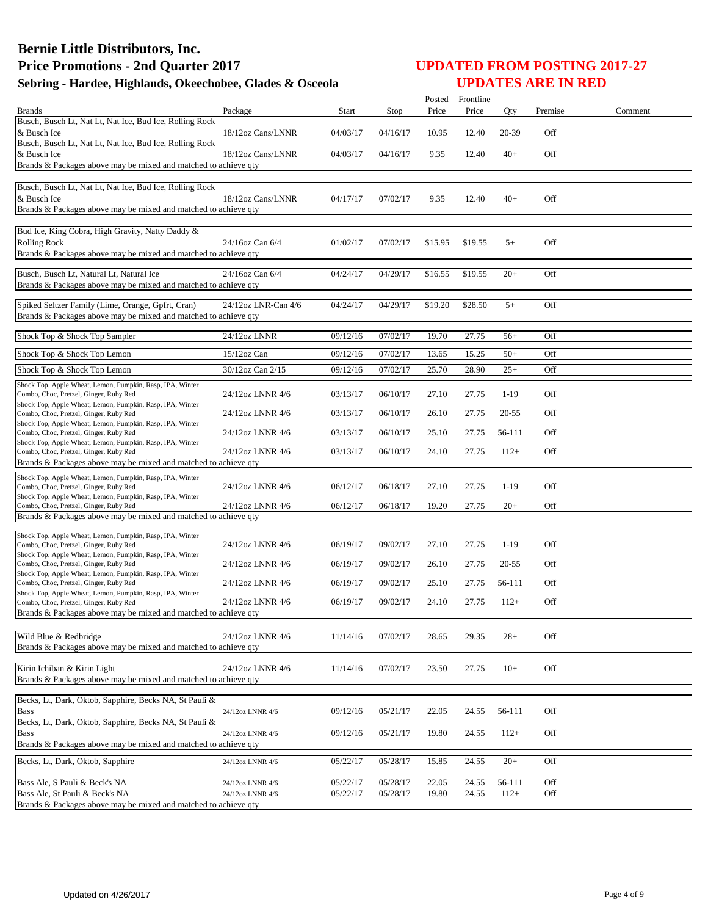|                                                                                                                                               |                                      |                      |                      |                | Posted Frontline |                     |            |         |
|-----------------------------------------------------------------------------------------------------------------------------------------------|--------------------------------------|----------------------|----------------------|----------------|------------------|---------------------|------------|---------|
| <b>Brands</b>                                                                                                                                 | Package                              | Start                | Stop                 | Price          | Price            | Qty                 | Premise    | Comment |
| Busch, Busch Lt, Nat Lt, Nat Ice, Bud Ice, Rolling Rock<br>& Busch Ice                                                                        | 18/12oz Cans/LNNR                    | 04/03/17             | 04/16/17             | 10.95          | 12.40            | 20-39               | Off        |         |
| Busch, Busch Lt, Nat Lt, Nat Ice, Bud Ice, Rolling Rock<br>& Busch Ice<br>Brands & Packages above may be mixed and matched to achieve qty     | 18/12oz Cans/LNNR                    | 04/03/17             | 04/16/17             | 9.35           | 12.40            | $40+$               | Off        |         |
|                                                                                                                                               |                                      |                      |                      |                |                  |                     |            |         |
| Busch, Busch Lt, Nat Lt, Nat Ice, Bud Ice, Rolling Rock<br>& Busch Ice<br>Brands & Packages above may be mixed and matched to achieve qty     | 18/12oz Cans/LNNR                    | 04/17/17             | 07/02/17             | 9.35           | 12.40            | $40+$               | Off        |         |
| Bud Ice, King Cobra, High Gravity, Natty Daddy &<br><b>Rolling Rock</b><br>Brands & Packages above may be mixed and matched to achieve qty    | 24/16oz Can 6/4                      | 01/02/17             | 07/02/17             | \$15.95        | \$19.55          | $5+$                | Off        |         |
| Busch, Busch Lt, Natural Lt, Natural Ice<br>Brands & Packages above may be mixed and matched to achieve qty                                   | 24/16oz Can 6/4                      | 04/24/17             | 04/29/17             | \$16.55        | \$19.55          | $20+$               | Off        |         |
| Spiked Seltzer Family (Lime, Orange, Gpfrt, Cran)<br>Brands & Packages above may be mixed and matched to achieve qty                          | 24/12oz LNR-Can 4/6                  | 04/24/17             | 04/29/17             | \$19.20        | \$28.50          | $5+$                | Off        |         |
| Shock Top & Shock Top Sampler                                                                                                                 | 24/12oz LNNR                         | 09/12/16             | 07/02/17             | 19.70          | 27.75            | $56+$               | Off        |         |
| Shock Top & Shock Top Lemon                                                                                                                   | $15/12$ oz Can                       | 09/12/16             | 07/02/17             | 13.65          | 15.25            | $50+$               | Off        |         |
| Shock Top & Shock Top Lemon                                                                                                                   | 30/12oz Can 2/15                     | 09/12/16             | 07/02/17             | 25.70          | 28.90            | $25+$               | Off        |         |
| Shock Top, Apple Wheat, Lemon, Pumpkin, Rasp, IPA, Winter                                                                                     |                                      |                      |                      |                |                  |                     |            |         |
| Combo, Choc, Pretzel, Ginger, Ruby Red<br>Shock Top, Apple Wheat, Lemon, Pumpkin, Rasp, IPA, Winter<br>Combo, Choc, Pretzel, Ginger, Ruby Red | 24/12oz LNNR 4/6<br>24/12oz LNNR 4/6 | 03/13/17<br>03/13/17 | 06/10/17<br>06/10/17 | 27.10<br>26.10 | 27.75<br>27.75   | $1-19$<br>$20 - 55$ | Off<br>Off |         |
| Shock Top, Apple Wheat, Lemon, Pumpkin, Rasp, IPA, Winter                                                                                     |                                      | 03/13/17             | 06/10/17             | 25.10          | 27.75            | 56-111              | Off        |         |
| Combo, Choc, Pretzel, Ginger, Ruby Red<br>Shock Top, Apple Wheat, Lemon, Pumpkin, Rasp, IPA, Winter                                           | 24/12oz LNNR 4/6<br>24/12oz LNNR 4/6 | 03/13/17             | 06/10/17             | 24.10          | 27.75            | $112+$              | Off        |         |
| Combo, Choc, Pretzel, Ginger, Ruby Red<br>Brands & Packages above may be mixed and matched to achieve qty                                     |                                      |                      |                      |                |                  |                     |            |         |
| Shock Top, Apple Wheat, Lemon, Pumpkin, Rasp, IPA, Winter                                                                                     |                                      |                      |                      |                |                  |                     |            |         |
| Combo, Choc, Pretzel, Ginger, Ruby Red<br>Shock Top, Apple Wheat, Lemon, Pumpkin, Rasp, IPA, Winter                                           | 24/12oz LNNR 4/6                     | 06/12/17             | 06/18/17             | 27.10          | 27.75            | $1-19$              | Off        |         |
| Combo, Choc, Pretzel, Ginger, Ruby Red<br>Brands & Packages above may be mixed and matched to achieve qty                                     | 24/12oz LNNR 4/6                     | 06/12/17             | 06/18/17             | 19.20          | 27.75            | $20+$               | Off        |         |
|                                                                                                                                               |                                      |                      |                      |                |                  |                     |            |         |
| Shock Top, Apple Wheat, Lemon, Pumpkin, Rasp, IPA, Winter<br>Combo, Choc, Pretzel, Ginger, Ruby Red                                           | 24/12oz LNNR 4/6                     | 06/19/17             | 09/02/17             | 27.10          | 27.75            | $1-19$              | Off        |         |
| Shock Top, Apple Wheat, Lemon, Pumpkin, Rasp, IPA, Winter<br>Combo, Choc, Pretzel, Ginger, Ruby Red                                           | 24/12oz LNNR 4/6                     | 06/19/17             | 09/02/17             | 26.10          | 27.75            | $20 - 55$           | Off        |         |
| Shock Top, Apple Wheat, Lemon, Pumpkin, Rasp, IPA, Winter<br>Combo, Choc, Pretzel, Ginger, Ruby Red                                           | 24/12oz LNNR 4/6                     | 06/19/17             | 09/02/17             | 25.10          | 27.75            | 56-111              | Off        |         |
| Shock Top, Apple Wheat, Lemon, Pumpkin, Rasp, IPA, Winter<br>Combo, Choc, Pretzel, Ginger, Ruby Red                                           | 24/12oz LNNR 4/6                     | 06/19/17             | 09/02/17             | 24.10          | 27.75            | $112+$              | Off        |         |
| Brands & Packages above may be mixed and matched to achieve qty                                                                               |                                      |                      |                      |                |                  |                     |            |         |
| Wild Blue & Redbridge<br>Brands & Packages above may be mixed and matched to achieve qty                                                      | 24/12oz LNNR 4/6                     | 11/14/16             | 07/02/17             | 28.65          | 29.35            | $28+$               | Off        |         |
| Kirin Ichiban & Kirin Light                                                                                                                   | 24/12oz LNNR 4/6                     | 11/14/16             | 07/02/17             | 23.50          | 27.75            | $10+$               | Off        |         |
| Brands & Packages above may be mixed and matched to achieve qty                                                                               |                                      |                      |                      |                |                  |                     |            |         |
| Becks, Lt, Dark, Oktob, Sapphire, Becks NA, St Pauli &                                                                                        |                                      |                      |                      |                |                  |                     |            |         |
| <b>Bass</b>                                                                                                                                   | 24/12oz LNNR 4/6                     | 09/12/16             | 05/21/17             | 22.05          | 24.55            | 56-111              | Off        |         |
| Becks, Lt, Dark, Oktob, Sapphire, Becks NA, St Pauli &<br><b>Bass</b>                                                                         | 24/12oz LNNR 4/6                     | 09/12/16             | 05/21/17             | 19.80          | 24.55            | $112+$              | Off        |         |
| Brands & Packages above may be mixed and matched to achieve qty                                                                               |                                      |                      |                      |                |                  |                     |            |         |
| Becks, Lt, Dark, Oktob, Sapphire                                                                                                              | 24/12oz LNNR 4/6                     | 05/22/17             | 05/28/17             | 15.85          | 24.55            | $20+$               | Off        |         |
| Bass Ale, S Pauli & Beck's NA                                                                                                                 | 24/12oz LNNR 4/6                     | 05/22/17             | 05/28/17             | 22.05          | 24.55            | 56-111              | Off        |         |
| Bass Ale, St Pauli & Beck's NA<br>Brands & Packages above may be mixed and matched to achieve qty                                             | 24/12oz LNNR 4/6                     | 05/22/17             | 05/28/17             | 19.80          | 24.55            | $112+$              | Off        |         |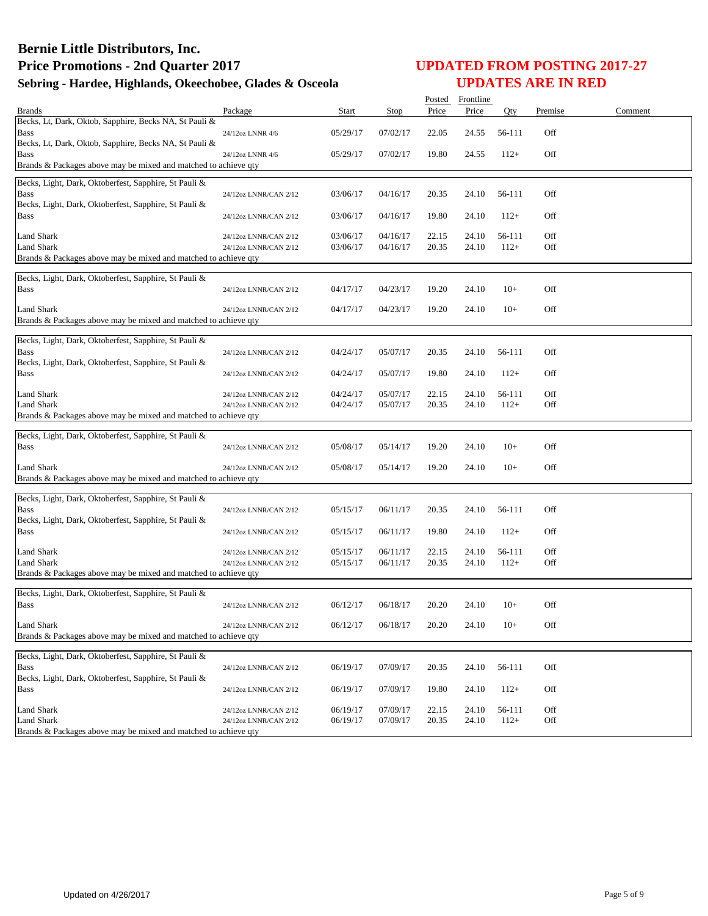|                                                                                      |                       |          |          | Posted | Frontline |        |         |         |
|--------------------------------------------------------------------------------------|-----------------------|----------|----------|--------|-----------|--------|---------|---------|
| <b>Brands</b>                                                                        | Package               | Start    | Stop     | Price  | Price     | Oty    | Premise | Comment |
| Becks, Lt, Dark, Oktob, Sapphire, Becks NA, St Pauli &                               |                       |          |          |        |           |        |         |         |
| Bass                                                                                 | 24/12oz LNNR 4/6      | 05/29/17 | 07/02/17 | 22.05  | 24.55     | 56-111 | Off     |         |
| Becks, Lt, Dark, Oktob, Sapphire, Becks NA, St Pauli &                               |                       |          |          |        |           |        |         |         |
| Bass<br>Brands & Packages above may be mixed and matched to achieve qty              | 24/12oz LNNR 4/6      | 05/29/17 | 07/02/17 | 19.80  | 24.55     | $112+$ | Off     |         |
|                                                                                      |                       |          |          |        |           |        |         |         |
| Becks, Light, Dark, Oktoberfest, Sapphire, St Pauli &                                |                       |          |          |        |           |        |         |         |
| <b>Bass</b>                                                                          | 24/12oz LNNR/CAN 2/12 | 03/06/17 | 04/16/17 | 20.35  | 24.10     | 56-111 | Off     |         |
| Becks, Light, Dark, Oktoberfest, Sapphire, St Pauli &                                |                       |          |          |        |           |        |         |         |
| Bass                                                                                 | 24/12oz LNNR/CAN 2/12 | 03/06/17 | 04/16/17 | 19.80  | 24.10     | $112+$ | Off     |         |
| <b>Land Shark</b>                                                                    | 24/12oz LNNR/CAN 2/12 | 03/06/17 | 04/16/17 | 22.15  | 24.10     | 56-111 | Off     |         |
| Land Shark                                                                           | 24/12oz LNNR/CAN 2/12 | 03/06/17 | 04/16/17 | 20.35  | 24.10     | $112+$ | Off     |         |
| Brands & Packages above may be mixed and matched to achieve qty                      |                       |          |          |        |           |        |         |         |
|                                                                                      |                       |          |          |        |           |        |         |         |
| Becks, Light, Dark, Oktoberfest, Sapphire, St Pauli &                                |                       |          |          |        |           |        |         |         |
| <b>Bass</b>                                                                          | 24/12oz LNNR/CAN 2/12 | 04/17/17 | 04/23/17 | 19.20  | 24.10     | $10+$  | Off     |         |
| Land Shark                                                                           | 24/12oz LNNR/CAN 2/12 | 04/17/17 | 04/23/17 | 19.20  | 24.10     | $10+$  | Off     |         |
| Brands & Packages above may be mixed and matched to achieve qty                      |                       |          |          |        |           |        |         |         |
|                                                                                      |                       |          |          |        |           |        |         |         |
| Becks, Light, Dark, Oktoberfest, Sapphire, St Pauli &                                |                       |          |          |        |           |        |         |         |
| <b>Bass</b>                                                                          | 24/12oz LNNR/CAN 2/12 | 04/24/17 | 05/07/17 | 20.35  | 24.10     | 56-111 | Off     |         |
| Becks, Light, Dark, Oktoberfest, Sapphire, St Pauli &<br>Bass                        | 24/12oz LNNR/CAN 2/12 | 04/24/17 | 05/07/17 | 19.80  | 24.10     | $112+$ | Off     |         |
|                                                                                      |                       |          |          |        |           |        |         |         |
| <b>Land Shark</b>                                                                    | 24/12oz LNNR/CAN 2/12 | 04/24/17 | 05/07/17 | 22.15  | 24.10     | 56-111 | Off     |         |
| <b>Land Shark</b>                                                                    | 24/12oz LNNR/CAN 2/12 | 04/24/17 | 05/07/17 | 20.35  | 24.10     | $112+$ | Off     |         |
| Brands & Packages above may be mixed and matched to achieve qty                      |                       |          |          |        |           |        |         |         |
|                                                                                      |                       |          |          |        |           |        |         |         |
| Becks, Light, Dark, Oktoberfest, Sapphire, St Pauli &<br>Bass                        | 24/12oz LNNR/CAN 2/12 | 05/08/17 | 05/14/17 | 19.20  | 24.10     | $10+$  | Off     |         |
|                                                                                      |                       |          |          |        |           |        |         |         |
| Land Shark                                                                           | 24/12oz LNNR/CAN 2/12 | 05/08/17 | 05/14/17 | 19.20  | 24.10     | $10+$  | Off     |         |
| Brands & Packages above may be mixed and matched to achieve qty                      |                       |          |          |        |           |        |         |         |
|                                                                                      |                       |          |          |        |           |        |         |         |
| Becks, Light, Dark, Oktoberfest, Sapphire, St Pauli &                                |                       |          |          |        |           |        |         |         |
| <b>Bass</b><br>Becks, Light, Dark, Oktoberfest, Sapphire, St Pauli &                 | 24/12oz LNNR/CAN 2/12 | 05/15/17 | 06/11/17 | 20.35  | 24.10     | 56-111 | Off     |         |
| Bass                                                                                 | 24/12oz LNNR/CAN 2/12 | 05/15/17 | 06/11/17 | 19.80  | 24.10     | $112+$ | Off     |         |
|                                                                                      |                       |          |          |        |           |        |         |         |
| <b>Land Shark</b>                                                                    | 24/12oz LNNR/CAN 2/12 | 05/15/17 | 06/11/17 | 22.15  | 24.10     | 56-111 | Off     |         |
| Land Shark                                                                           | 24/12oz LNNR/CAN 2/12 | 05/15/17 | 06/11/17 | 20.35  | 24.10     | $112+$ | Off     |         |
| Brands & Packages above may be mixed and matched to achieve qty                      |                       |          |          |        |           |        |         |         |
| Becks, Light, Dark, Oktoberfest, Sapphire, St Pauli &                                |                       |          |          |        |           |        |         |         |
| <b>Bass</b>                                                                          | 24/12oz LNNR/CAN 2/12 | 06/12/17 | 06/18/17 | 20.20  | 24.10     | $10+$  | Off     |         |
|                                                                                      |                       |          |          |        |           |        |         |         |
| Land Shark                                                                           | 24/12oz LNNR/CAN 2/12 | 06/12/17 | 06/18/17 | 20.20  | 24.10     | $10+$  | Off     |         |
| Brands & Packages above may be mixed and matched to achieve qty                      |                       |          |          |        |           |        |         |         |
| Becks, Light, Dark, Oktoberfest, Sapphire, St Pauli &                                |                       |          |          |        |           |        |         |         |
| <b>Bass</b>                                                                          | 24/12oz LNNR/CAN 2/12 | 06/19/17 | 07/09/17 | 20.35  | 24.10     | 56-111 | Off     |         |
| Becks, Light, Dark, Oktoberfest, Sapphire, St Pauli &                                |                       |          |          |        |           |        |         |         |
| Bass                                                                                 | 24/12oz LNNR/CAN 2/12 | 06/19/17 | 07/09/17 | 19.80  | 24.10     | $112+$ | Off     |         |
|                                                                                      |                       |          |          |        |           |        |         |         |
| Land Shark                                                                           | 24/12oz LNNR/CAN 2/12 | 06/19/17 | 07/09/17 | 22.15  | 24.10     | 56-111 | Off     |         |
| <b>Land Shark</b><br>Brands & Packages above may be mixed and matched to achieve qty | 24/12oz LNNR/CAN 2/12 | 06/19/17 | 07/09/17 | 20.35  | 24.10     | $112+$ | Off     |         |
|                                                                                      |                       |          |          |        |           |        |         |         |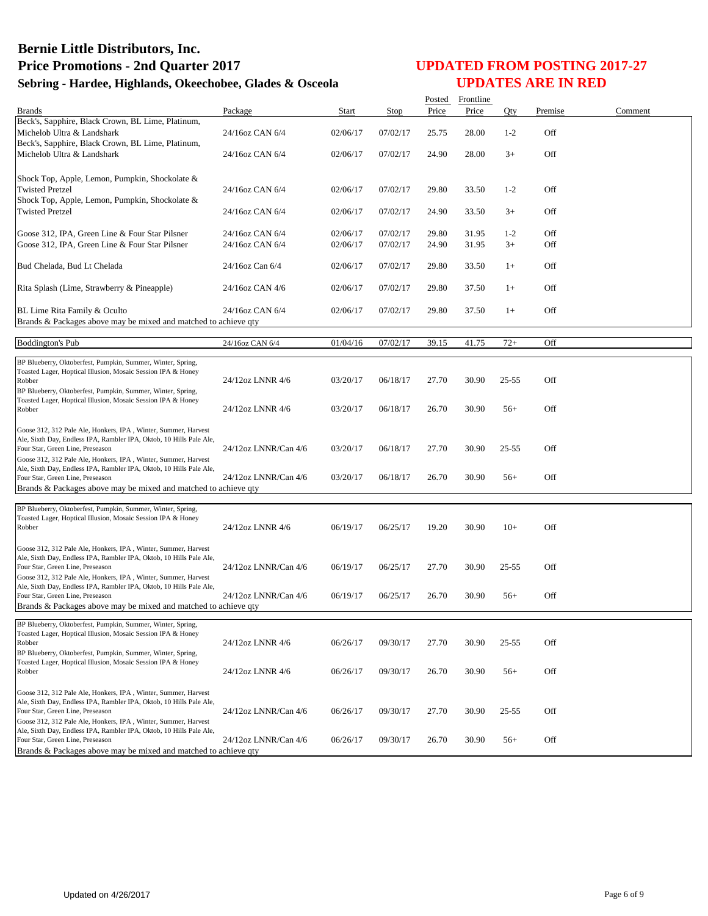|                                                                                                                                       |                      |          |             | Posted | Frontline |           |         |         |
|---------------------------------------------------------------------------------------------------------------------------------------|----------------------|----------|-------------|--------|-----------|-----------|---------|---------|
| <b>Brands</b>                                                                                                                         | Package              | Start    | <b>Stop</b> | Price  | Price     | Qty       | Premise | Comment |
| Beck's, Sapphire, Black Crown, BL Lime, Platinum,                                                                                     |                      |          |             |        |           |           |         |         |
| Michelob Ultra & Landshark                                                                                                            | 24/16oz CAN 6/4      | 02/06/17 | 07/02/17    | 25.75  | 28.00     | $1 - 2$   | Off     |         |
| Beck's, Sapphire, Black Crown, BL Lime, Platinum,                                                                                     |                      |          |             |        |           |           |         |         |
| Michelob Ultra & Landshark                                                                                                            | 24/16oz CAN 6/4      | 02/06/17 | 07/02/17    | 24.90  | 28.00     | $3+$      | Off     |         |
|                                                                                                                                       |                      |          |             |        |           |           |         |         |
| Shock Top, Apple, Lemon, Pumpkin, Shockolate &                                                                                        |                      |          |             |        |           |           |         |         |
| <b>Twisted Pretzel</b>                                                                                                                | 24/16oz CAN 6/4      | 02/06/17 | 07/02/17    | 29.80  | 33.50     | $1 - 2$   | Off     |         |
| Shock Top, Apple, Lemon, Pumpkin, Shockolate &                                                                                        |                      |          |             |        |           |           |         |         |
| <b>Twisted Pretzel</b>                                                                                                                | 24/16oz CAN 6/4      | 02/06/17 | 07/02/17    | 24.90  | 33.50     | $3+$      | Off     |         |
|                                                                                                                                       |                      |          |             |        |           |           |         |         |
| Goose 312, IPA, Green Line & Four Star Pilsner                                                                                        | 24/16oz CAN 6/4      | 02/06/17 | 07/02/17    | 29.80  | 31.95     | $1 - 2$   | Off     |         |
| Goose 312, IPA, Green Line & Four Star Pilsner                                                                                        | 24/16oz CAN 6/4      | 02/06/17 | 07/02/17    | 24.90  | 31.95     | $3+$      | Off     |         |
|                                                                                                                                       |                      |          |             |        |           |           |         |         |
| Bud Chelada, Bud Lt Chelada                                                                                                           | 24/16oz Can 6/4      | 02/06/17 | 07/02/17    | 29.80  | 33.50     | $1+$      | Off     |         |
|                                                                                                                                       |                      |          |             |        |           |           |         |         |
| Rita Splash (Lime, Strawberry & Pineapple)                                                                                            | 24/16oz CAN 4/6      | 02/06/17 | 07/02/17    | 29.80  | 37.50     | $1+$      | Off     |         |
|                                                                                                                                       |                      |          |             |        |           |           |         |         |
|                                                                                                                                       |                      |          |             |        |           |           |         |         |
| BL Lime Rita Family & Oculto                                                                                                          | 24/16oz CAN 6/4      | 02/06/17 | 07/02/17    | 29.80  | 37.50     | $1+$      | Off     |         |
| Brands & Packages above may be mixed and matched to achieve qty                                                                       |                      |          |             |        |           |           |         |         |
| <b>Boddington's Pub</b>                                                                                                               | 24/16oz CAN 6/4      | 01/04/16 | 07/02/17    | 39.15  | 41.75     | $72+$     | Off     |         |
|                                                                                                                                       |                      |          |             |        |           |           |         |         |
| BP Blueberry, Oktoberfest, Pumpkin, Summer, Winter, Spring,                                                                           |                      |          |             |        |           |           |         |         |
| Toasted Lager, Hoptical Illusion, Mosaic Session IPA & Honey                                                                          |                      |          |             |        |           |           |         |         |
| Robber                                                                                                                                | 24/12oz LNNR 4/6     | 03/20/17 | 06/18/17    | 27.70  | 30.90     | 25-55     | Off     |         |
| BP Blueberry, Oktoberfest, Pumpkin, Summer, Winter, Spring,                                                                           |                      |          |             |        |           |           |         |         |
| Toasted Lager, Hoptical Illusion, Mosaic Session IPA & Honey<br>Robber                                                                | 24/12oz LNNR 4/6     | 03/20/17 | 06/18/17    | 26.70  | 30.90     | $56+$     | Off     |         |
|                                                                                                                                       |                      |          |             |        |           |           |         |         |
| Goose 312, 312 Pale Ale, Honkers, IPA, Winter, Summer, Harvest                                                                        |                      |          |             |        |           |           |         |         |
| Ale, Sixth Day, Endless IPA, Rambler IPA, Oktob, 10 Hills Pale Ale,                                                                   |                      |          |             |        |           |           |         |         |
| Four Star, Green Line, Preseason                                                                                                      | 24/12oz LNNR/Can 4/6 | 03/20/17 | 06/18/17    | 27.70  | 30.90     | $25 - 55$ | Off     |         |
| Goose 312, 312 Pale Ale, Honkers, IPA, Winter, Summer, Harvest                                                                        |                      |          |             |        |           |           |         |         |
| Ale, Sixth Day, Endless IPA, Rambler IPA, Oktob, 10 Hills Pale Ale,                                                                   |                      |          |             |        |           |           |         |         |
| Four Star, Green Line, Preseason                                                                                                      | 24/12oz LNNR/Can 4/6 | 03/20/17 | 06/18/17    | 26.70  | 30.90     | $56+$     | Off     |         |
| Brands & Packages above may be mixed and matched to achieve qty                                                                       |                      |          |             |        |           |           |         |         |
|                                                                                                                                       |                      |          |             |        |           |           |         |         |
| BP Blueberry, Oktoberfest, Pumpkin, Summer, Winter, Spring,<br>Toasted Lager, Hoptical Illusion, Mosaic Session IPA & Honey           |                      |          |             |        |           |           |         |         |
| Robber                                                                                                                                | 24/12oz LNNR 4/6     | 06/19/17 | 06/25/17    | 19.20  | 30.90     | $10+$     | Off     |         |
|                                                                                                                                       |                      |          |             |        |           |           |         |         |
| Goose 312, 312 Pale Ale, Honkers, IPA, Winter, Summer, Harvest                                                                        |                      |          |             |        |           |           |         |         |
| Ale, Sixth Day, Endless IPA, Rambler IPA, Oktob, 10 Hills Pale Ale,                                                                   |                      |          |             |        |           |           |         |         |
| Four Star, Green Line, Preseason                                                                                                      | 24/12oz LNNR/Can 4/6 | 06/19/17 | 06/25/17    | 27.70  | 30.90     | $25 - 55$ | Off     |         |
| Goose 312, 312 Pale Ale, Honkers, IPA, Winter, Summer, Harvest                                                                        |                      |          |             |        |           |           |         |         |
| Ale, Sixth Day, Endless IPA, Rambler IPA, Oktob, 10 Hills Pale Ale,                                                                   |                      |          |             |        |           |           |         |         |
| Four Star, Green Line, Preseason                                                                                                      | 24/12oz LNNR/Can 4/6 | 06/19/17 | 06/25/17    | 26.70  | 30.90     | $56+$     | Off     |         |
| Brands & Packages above may be mixed and matched to achieve qty                                                                       |                      |          |             |        |           |           |         |         |
| BP Blueberry, Oktoberfest, Pumpkin, Summer, Winter, Spring,                                                                           |                      |          |             |        |           |           |         |         |
| Toasted Lager, Hoptical Illusion, Mosaic Session IPA & Honey                                                                          |                      |          |             |        |           |           |         |         |
| Robber                                                                                                                                | 24/12oz LNNR 4/6     | 06/26/17 | 09/30/17    | 27.70  | 30.90     | $25 - 55$ | Off     |         |
| BP Blueberry, Oktoberfest, Pumpkin, Summer, Winter, Spring,                                                                           |                      |          |             |        |           |           |         |         |
| Toasted Lager, Hoptical Illusion, Mosaic Session IPA & Honey                                                                          |                      |          |             |        |           |           |         |         |
| Robber                                                                                                                                | 24/12oz LNNR 4/6     | 06/26/17 | 09/30/17    | 26.70  | 30.90     | $56+$     | Off     |         |
|                                                                                                                                       |                      |          |             |        |           |           |         |         |
| Goose 312, 312 Pale Ale, Honkers, IPA, Winter, Summer, Harvest<br>Ale, Sixth Day, Endless IPA, Rambler IPA, Oktob, 10 Hills Pale Ale, |                      |          |             |        |           |           |         |         |
| Four Star, Green Line, Preseason                                                                                                      | 24/12oz LNNR/Can 4/6 | 06/26/17 | 09/30/17    | 27.70  | 30.90     | $25 - 55$ | Off     |         |
| Goose 312, 312 Pale Ale, Honkers, IPA, Winter, Summer, Harvest                                                                        |                      |          |             |        |           |           |         |         |
| Ale, Sixth Day, Endless IPA, Rambler IPA, Oktob, 10 Hills Pale Ale,                                                                   |                      |          |             |        |           |           |         |         |
| Four Star, Green Line, Preseason                                                                                                      | 24/12oz LNNR/Can 4/6 | 06/26/17 | 09/30/17    | 26.70  | 30.90     | $56+$     | Off     |         |
| Brands & Packages above may be mixed and matched to achieve gty                                                                       |                      |          |             |        |           |           |         |         |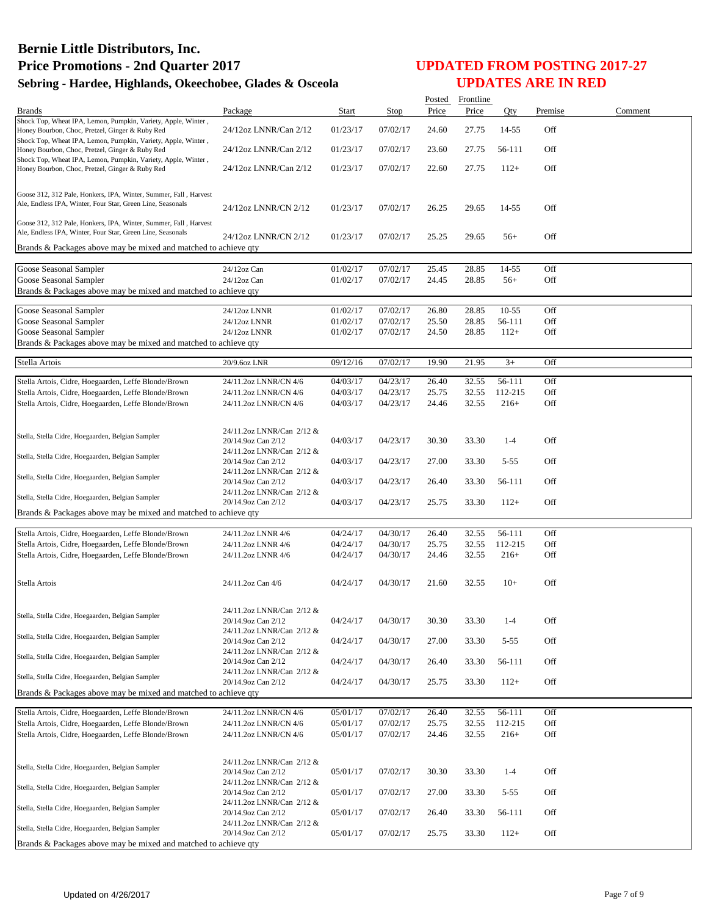|                                                                                                                  |                                                 |                      |                      |                | Posted Frontline |                   |            |         |
|------------------------------------------------------------------------------------------------------------------|-------------------------------------------------|----------------------|----------------------|----------------|------------------|-------------------|------------|---------|
| <b>Brands</b>                                                                                                    | Package                                         | Start                | Stop                 | Price          | Price            | Qty               | Premise    | Comment |
| Shock Top, Wheat IPA, Lemon, Pumpkin, Variety, Apple, Winter,                                                    |                                                 |                      |                      |                |                  |                   |            |         |
| Honey Bourbon, Choc, Pretzel, Ginger & Ruby Red<br>Shock Top, Wheat IPA, Lemon, Pumpkin, Variety, Apple, Winter, | 24/12oz LNNR/Can 2/12                           | 01/23/17             | 07/02/17             | 24.60          | 27.75            | 14-55             | Off        |         |
| Honey Bourbon, Choc, Pretzel, Ginger & Ruby Red                                                                  | 24/12oz LNNR/Can 2/12                           | 01/23/17             | 07/02/17             | 23.60          | 27.75            | 56-111            | Off        |         |
| Shock Top, Wheat IPA, Lemon, Pumpkin, Variety, Apple, Winter,                                                    |                                                 |                      |                      |                |                  |                   |            |         |
| Honey Bourbon, Choc, Pretzel, Ginger & Ruby Red                                                                  | 24/12oz LNNR/Can 2/12                           | 01/23/17             | 07/02/17             | 22.60          | 27.75            | $112+$            | Off        |         |
|                                                                                                                  |                                                 |                      |                      |                |                  |                   |            |         |
| Goose 312, 312 Pale, Honkers, IPA, Winter, Summer, Fall, Harvest                                                 |                                                 |                      |                      |                |                  |                   |            |         |
| Ale, Endless IPA, Winter, Four Star, Green Line, Seasonals                                                       | 24/12oz LNNR/CN 2/12                            | 01/23/17             | 07/02/17             | 26.25          | 29.65            | 14-55             | Off        |         |
| Goose 312, 312 Pale, Honkers, IPA, Winter, Summer, Fall, Harvest                                                 |                                                 |                      |                      |                |                  |                   |            |         |
| Ale, Endless IPA, Winter, Four Star, Green Line, Seasonals                                                       |                                                 |                      |                      |                |                  |                   |            |         |
| Brands & Packages above may be mixed and matched to achieve qty                                                  | 24/12oz LNNR/CN 2/12                            | 01/23/17             | 07/02/17             | 25.25          | 29.65            | $56+$             | Off        |         |
|                                                                                                                  |                                                 |                      |                      |                |                  |                   |            |         |
| Goose Seasonal Sampler                                                                                           | 24/12oz Can                                     | 01/02/17             | 07/02/17             | 25.45          | 28.85            | 14-55             | Off        |         |
| Goose Seasonal Sampler                                                                                           | 24/12oz Can                                     | 01/02/17             | 07/02/17             | 24.45          | 28.85            | $56+$             | Off        |         |
| Brands & Packages above may be mixed and matched to achieve qty                                                  |                                                 |                      |                      |                |                  |                   |            |         |
|                                                                                                                  |                                                 |                      |                      |                |                  |                   |            |         |
| Goose Seasonal Sampler                                                                                           | 24/12oz LNNR                                    | 01/02/17             | 07/02/17             | 26.80          | 28.85            | $10 - 55$         | Off        |         |
| Goose Seasonal Sampler                                                                                           | 24/12oz LNNR                                    | 01/02/17             | 07/02/17             | 25.50          | 28.85            | 56-111            | Off        |         |
| Goose Seasonal Sampler                                                                                           | 24/12oz LNNR                                    | 01/02/17             | 07/02/17             | 24.50          | 28.85            | $112+$            | Off        |         |
| Brands & Packages above may be mixed and matched to achieve qty                                                  |                                                 |                      |                      |                |                  |                   |            |         |
| Stella Artois                                                                                                    | 20/9.6oz LNR                                    | 09/12/16             | 07/02/17             | 19.90          | 21.95            | $3+$              | Off        |         |
|                                                                                                                  |                                                 |                      |                      |                |                  |                   |            |         |
| Stella Artois, Cidre, Hoegaarden, Leffe Blonde/Brown                                                             | 24/11.2oz LNNR/CN 4/6                           | 04/03/17             | 04/23/17             | 26.40          | 32.55            | 56-111            | Off        |         |
| Stella Artois, Cidre, Hoegaarden, Leffe Blonde/Brown                                                             | 24/11.2oz LNNR/CN 4/6                           | 04/03/17             | 04/23/17             | 25.75          | 32.55            | 112-215           | Off        |         |
| Stella Artois, Cidre, Hoegaarden, Leffe Blonde/Brown                                                             | 24/11.2oz LNNR/CN 4/6                           | 04/03/17             | 04/23/17             | 24.46          | 32.55            | $216+$            | Off        |         |
|                                                                                                                  |                                                 |                      |                      |                |                  |                   |            |         |
| Stella, Stella Cidre, Hoegaarden, Belgian Sampler                                                                | 24/11.2oz LNNR/Can 2/12 &                       |                      |                      |                |                  |                   |            |         |
|                                                                                                                  | 20/14.9oz Can 2/12                              | 04/03/17             | 04/23/17             | 30.30          | 33.30            | $1 - 4$           | Off        |         |
| Stella, Stella Cidre, Hoegaarden, Belgian Sampler                                                                | 24/11.2oz LNNR/Can 2/12 &<br>20/14.9oz Can 2/12 |                      |                      |                |                  | $5 - 55$          | Off        |         |
|                                                                                                                  | 24/11.2oz LNNR/Can 2/12 &                       | 04/03/17             | 04/23/17             | 27.00          | 33.30            |                   |            |         |
| Stella, Stella Cidre, Hoegaarden, Belgian Sampler                                                                | 20/14.9oz Can 2/12                              | 04/03/17             | 04/23/17             | 26.40          | 33.30            | 56-111            | Off        |         |
|                                                                                                                  | 24/11.2oz LNNR/Can 2/12 &                       |                      |                      |                |                  |                   |            |         |
| Stella, Stella Cidre, Hoegaarden, Belgian Sampler                                                                | 20/14.9oz Can 2/12                              | 04/03/17             | 04/23/17             | 25.75          | 33.30            | $112+$            | Off        |         |
| Brands & Packages above may be mixed and matched to achieve qty                                                  |                                                 |                      |                      |                |                  |                   |            |         |
|                                                                                                                  |                                                 | 04/24/17             | 04/30/17             | 26.40          | 32.55            | 56-111            | Off        |         |
| Stella Artois, Cidre, Hoegaarden, Leffe Blonde/Brown<br>Stella Artois, Cidre, Hoegaarden, Leffe Blonde/Brown     | 24/11.2oz LNNR 4/6<br>24/11.2oz LNNR 4/6        | 04/24/17             | 04/30/17             | 25.75          | 32.55            | 112-215           | Off        |         |
| Stella Artois, Cidre, Hoegaarden, Leffe Blonde/Brown                                                             | 24/11.2oz LNNR 4/6                              | 04/24/17             | 04/30/17             | 24.46          | 32.55            | $216+$            | Off        |         |
|                                                                                                                  |                                                 |                      |                      |                |                  |                   |            |         |
|                                                                                                                  |                                                 |                      |                      |                |                  |                   |            |         |
| Stella Artois                                                                                                    | 24/11.2oz Can 4/6                               | 04/24/17             | 04/30/17             | 21.60          | 32.55            | $10+$             | Off        |         |
|                                                                                                                  |                                                 |                      |                      |                |                  |                   |            |         |
|                                                                                                                  | 24/11.2oz LNNR/Can 2/12 &                       |                      |                      |                |                  |                   |            |         |
| Stella, Stella Cidre, Hoegaarden, Belgian Sampler                                                                | 20/14.9oz Can 2/12                              | 04/24/17             | 04/30/17             | 30.30          | 33.30            | $1 - 4$           | Off        |         |
| Stella, Stella Cidre, Hoegaarden, Belgian Sampler                                                                | 24/11.2oz LNNR/Can 2/12 &                       |                      |                      |                |                  |                   |            |         |
|                                                                                                                  | 20/14.9oz Can 2/12<br>24/11.2oz LNNR/Can 2/12 & | 04/24/17             | 04/30/17             | 27.00          | 33.30            | $5 - 55$          | Off        |         |
| Stella, Stella Cidre, Hoegaarden, Belgian Sampler                                                                | 20/14.9oz Can 2/12                              | 04/24/17             | 04/30/17             | 26.40          | 33.30            | 56-111            | Off        |         |
|                                                                                                                  | 24/11.2oz LNNR/Can 2/12 &                       |                      |                      |                |                  |                   |            |         |
| Stella, Stella Cidre, Hoegaarden, Belgian Sampler                                                                | 20/14.9oz Can 2/12                              | 04/24/17             | 04/30/17             | 25.75          | 33.30            | $112+$            | Off        |         |
| Brands & Packages above may be mixed and matched to achieve gty                                                  |                                                 |                      |                      |                |                  |                   |            |         |
|                                                                                                                  |                                                 |                      |                      |                |                  |                   |            |         |
| Stella Artois, Cidre, Hoegaarden, Leffe Blonde/Brown                                                             | 24/11.2oz LNNR/CN 4/6                           | 05/01/17             | 07/02/17             | 26.40          | 32.55            | 56-111            | Off        |         |
| Stella Artois, Cidre, Hoegaarden, Leffe Blonde/Brown<br>Stella Artois, Cidre, Hoegaarden, Leffe Blonde/Brown     | 24/11.2oz LNNR/CN 4/6<br>24/11.2oz LNNR/CN 4/6  | 05/01/17<br>05/01/17 | 07/02/17<br>07/02/17 | 25.75<br>24.46 | 32.55<br>32.55   | 112-215<br>$216+$ | Off<br>Off |         |
|                                                                                                                  |                                                 |                      |                      |                |                  |                   |            |         |
|                                                                                                                  |                                                 |                      |                      |                |                  |                   |            |         |
| Stella, Stella Cidre, Hoegaarden, Belgian Sampler                                                                | 24/11.2oz LNNR/Can 2/12 &                       |                      |                      |                |                  |                   |            |         |
|                                                                                                                  | 20/14.9oz Can 2/12                              | 05/01/17             | 07/02/17             | 30.30          | 33.30            | $1 - 4$           | Off        |         |
| Stella, Stella Cidre, Hoegaarden, Belgian Sampler                                                                | 24/11.2oz LNNR/Can 2/12 &<br>20/14.9oz Can 2/12 | 05/01/17             | 07/02/17             | 27.00          | 33.30            | $5 - 55$          | Off        |         |
|                                                                                                                  | 24/11.2oz LNNR/Can 2/12 &                       |                      |                      |                |                  |                   |            |         |
| Stella, Stella Cidre, Hoegaarden, Belgian Sampler                                                                | 20/14.9oz Can 2/12                              | 05/01/17             | 07/02/17             | 26.40          | 33.30            | 56-111            | Off        |         |
| Stella, Stella Cidre, Hoegaarden, Belgian Sampler                                                                | 24/11.2oz LNNR/Can 2/12 &                       |                      |                      |                |                  |                   |            |         |
|                                                                                                                  | 20/14.9oz Can 2/12                              | 05/01/17             | 07/02/17             | 25.75          | 33.30            | $112+$            | Off        |         |
| Brands & Packages above may be mixed and matched to achieve qty                                                  |                                                 |                      |                      |                |                  |                   |            |         |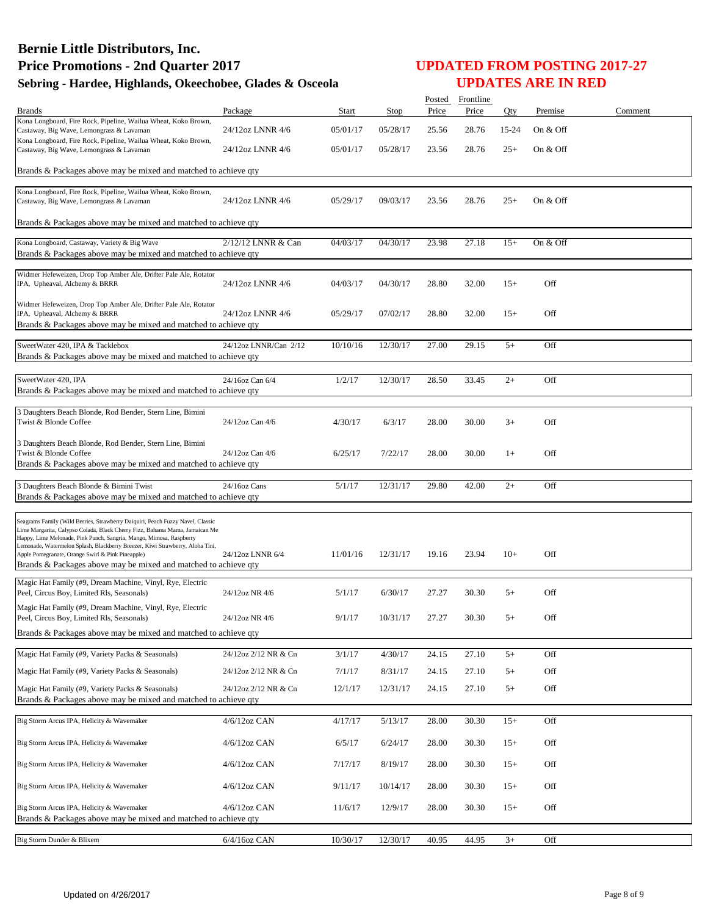| Brands                                                                                                                                                                                                                                                                                                                                                                                                                                        | Package               | Start    | Stop     | Price | Posted Frontline<br>Price | Qty   | Premise  | Comment |
|-----------------------------------------------------------------------------------------------------------------------------------------------------------------------------------------------------------------------------------------------------------------------------------------------------------------------------------------------------------------------------------------------------------------------------------------------|-----------------------|----------|----------|-------|---------------------------|-------|----------|---------|
| Kona Longboard, Fire Rock, Pipeline, Wailua Wheat, Koko Brown,                                                                                                                                                                                                                                                                                                                                                                                |                       |          |          |       |                           |       |          |         |
| Castaway, Big Wave, Lemongrass & Lavaman                                                                                                                                                                                                                                                                                                                                                                                                      | 24/12oz LNNR 4/6      | 05/01/17 | 05/28/17 | 25.56 | 28.76                     | 15-24 | On & Off |         |
| Kona Longboard, Fire Rock, Pipeline, Wailua Wheat, Koko Brown,<br>Castaway, Big Wave, Lemongrass & Lavaman                                                                                                                                                                                                                                                                                                                                    | 24/12oz LNNR 4/6      | 05/01/17 | 05/28/17 | 23.56 | 28.76                     | $25+$ | On & Off |         |
| Brands & Packages above may be mixed and matched to achieve gty                                                                                                                                                                                                                                                                                                                                                                               |                       |          |          |       |                           |       |          |         |
| Kona Longboard, Fire Rock, Pipeline, Wailua Wheat, Koko Brown,<br>Castaway, Big Wave, Lemongrass & Lavaman                                                                                                                                                                                                                                                                                                                                    | 24/12oz LNNR 4/6      | 05/29/17 | 09/03/17 | 23.56 | 28.76                     | $25+$ | On & Off |         |
| Brands & Packages above may be mixed and matched to achieve qty                                                                                                                                                                                                                                                                                                                                                                               |                       |          |          |       |                           |       |          |         |
| Kona Longboard, Castaway, Variety & Big Wave<br>Brands & Packages above may be mixed and matched to achieve qty                                                                                                                                                                                                                                                                                                                               | 2/12/12 LNNR & Can    | 04/03/17 | 04/30/17 | 23.98 | 27.18                     | $15+$ | On & Off |         |
| Widmer Hefeweizen, Drop Top Amber Ale, Drifter Pale Ale, Rotator<br>IPA, Upheaval, Alchemy & BRRR                                                                                                                                                                                                                                                                                                                                             | 24/12oz LNNR 4/6      | 04/03/17 | 04/30/17 | 28.80 | 32.00                     | $15+$ | Off      |         |
| Widmer Hefeweizen, Drop Top Amber Ale, Drifter Pale Ale, Rotator<br>IPA, Upheaval, Alchemy & BRRR<br>Brands & Packages above may be mixed and matched to achieve qty                                                                                                                                                                                                                                                                          | 24/12oz LNNR 4/6      | 05/29/17 | 07/02/17 | 28.80 | 32.00                     | $15+$ | Off      |         |
| SweetWater 420, IPA & Tacklebox<br>Brands & Packages above may be mixed and matched to achieve qty                                                                                                                                                                                                                                                                                                                                            | 24/12oz LNNR/Can 2/12 | 10/10/16 | 12/30/17 | 27.00 | 29.15                     | $5+$  | Off      |         |
| SweetWater 420, IPA<br>Brands & Packages above may be mixed and matched to achieve qty                                                                                                                                                                                                                                                                                                                                                        | 24/16oz Can 6/4       | 1/2/17   | 12/30/17 | 28.50 | 33.45                     | $2+$  | Off      |         |
| 3 Daughters Beach Blonde, Rod Bender, Stern Line, Bimini<br>Twist & Blonde Coffee                                                                                                                                                                                                                                                                                                                                                             | 24/12oz Can 4/6       | 4/30/17  | 6/3/17   | 28.00 | 30.00                     | $3+$  | Off      |         |
| 3 Daughters Beach Blonde, Rod Bender, Stern Line, Bimini<br>Twist & Blonde Coffee<br>Brands & Packages above may be mixed and matched to achieve qty                                                                                                                                                                                                                                                                                          | 24/12oz Can 4/6       | 6/25/17  | 7/22/17  | 28.00 | 30.00                     | $1+$  | Off      |         |
| 3 Daughters Beach Blonde & Bimini Twist<br>Brands & Packages above may be mixed and matched to achieve qty                                                                                                                                                                                                                                                                                                                                    | 24/16oz Cans          | 5/1/17   | 12/31/17 | 29.80 | 42.00                     | $2+$  | Off      |         |
| Seagrams Family (Wild Berries, Strawberry Daiquiri, Peach Fuzzy Navel, Classic<br>Lime Margarita, Calypso Colada, Black Cherry Fizz, Bahama Mama, Jamaican Me<br>Happy, Lime Melonade, Pink Punch, Sangria, Mango, Mimosa, Raspberry<br>Lemonade, Watermelon Splash, Blackberry Breezer, Kiwi Strawberry, Aloha Tini,<br>Apple Pomegranate, Orange Swirl & Pink Pineapple)<br>Brands & Packages above may be mixed and matched to achieve qty | 24/12oz LNNR 6/4      | 11/01/16 | 12/31/17 | 19.16 | 23.94                     | $10+$ | Off      |         |
| Magic Hat Family (#9, Dream Machine, Vinyl, Rye, Electric<br>Peel, Circus Boy, Limited Rls, Seasonals)                                                                                                                                                                                                                                                                                                                                        | 24/12oz NR 4/6        | 5/1/17   | 6/30/17  | 27.27 | 30.30                     | $5+$  | Off      |         |
| Magic Hat Family (#9, Dream Machine, Vinyl, Rye, Electric<br>Peel, Circus Boy, Limited Rls, Seasonals)                                                                                                                                                                                                                                                                                                                                        | 24/12oz NR 4/6        | 9/1/17   | 10/31/17 | 27.27 | 30.30                     | $5+$  | Off      |         |
| Brands & Packages above may be mixed and matched to achieve qty                                                                                                                                                                                                                                                                                                                                                                               |                       |          |          |       |                           |       |          |         |
| Magic Hat Family (#9, Variety Packs & Seasonals)                                                                                                                                                                                                                                                                                                                                                                                              | 24/12oz 2/12 NR & Cn  | 3/1/17   | 4/30/17  | 24.15 | 27.10                     | $5+$  | Off      |         |
| Magic Hat Family (#9, Variety Packs & Seasonals)                                                                                                                                                                                                                                                                                                                                                                                              | 24/12oz 2/12 NR & Cn  | 7/1/17   | 8/31/17  | 24.15 | 27.10                     | $5+$  | Off      |         |
| Magic Hat Family (#9, Variety Packs & Seasonals)<br>Brands & Packages above may be mixed and matched to achieve qty                                                                                                                                                                                                                                                                                                                           | 24/12oz 2/12 NR & Cn  | 12/1/17  | 12/31/17 | 24.15 | 27.10                     | $5+$  | Off      |         |
| Big Storm Arcus IPA, Helicity & Wavemaker                                                                                                                                                                                                                                                                                                                                                                                                     | 4/6/12oz CAN          | 4/17/17  | 5/13/17  | 28.00 | 30.30                     | $15+$ | Off      |         |
| Big Storm Arcus IPA, Helicity & Wavemaker                                                                                                                                                                                                                                                                                                                                                                                                     | 4/6/12oz CAN          | 6/5/17   | 6/24/17  | 28.00 | 30.30                     | $15+$ | Off      |         |
| Big Storm Arcus IPA, Helicity & Wavemaker                                                                                                                                                                                                                                                                                                                                                                                                     | 4/6/12oz CAN          | 7/17/17  | 8/19/17  | 28.00 | 30.30                     | $15+$ | Off      |         |
| Big Storm Arcus IPA, Helicity & Wavemaker                                                                                                                                                                                                                                                                                                                                                                                                     | 4/6/12oz CAN          | 9/11/17  | 10/14/17 | 28.00 | 30.30                     | $15+$ | Off      |         |
| Big Storm Arcus IPA, Helicity & Wavemaker<br>Brands & Packages above may be mixed and matched to achieve qty                                                                                                                                                                                                                                                                                                                                  | 4/6/12oz CAN          | 11/6/17  | 12/9/17  | 28.00 | 30.30                     | $15+$ | Off      |         |
| Big Storm Dunder & Blixem                                                                                                                                                                                                                                                                                                                                                                                                                     | 6/4/16oz CAN          | 10/30/17 | 12/30/17 | 40.95 | 44.95                     | $3+$  | Off      |         |